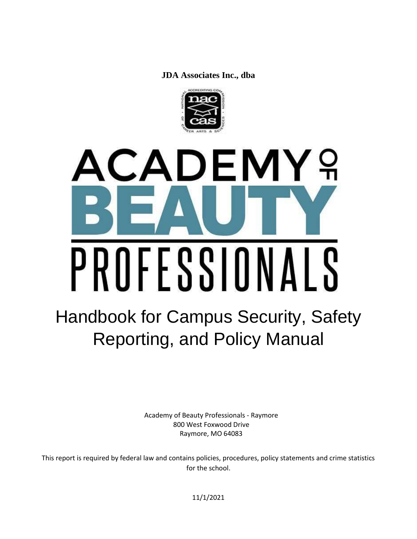**JDA Associates Inc., dba**



# **CADEMY** 9 PROFESSIONALS

# Handbook for Campus Security, Safety Reporting, and Policy Manual

Academy of Beauty Professionals - Raymore 800 West Foxwood Drive Raymore, MO 64083

This report is required by federal law and contains policies, procedures, policy statements and crime statistics for the school.

11/1/2021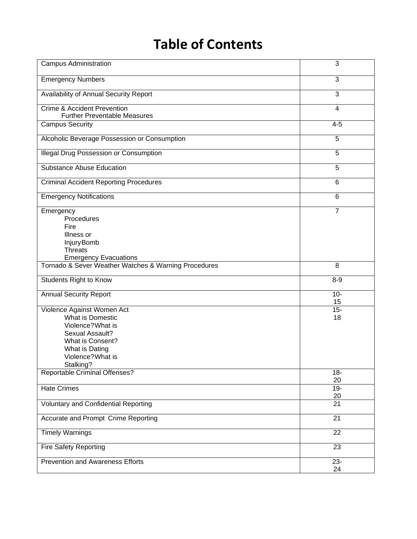# **Table of Contents**

| <b>Campus Administration</b>                                                                                                                                   | 3               |
|----------------------------------------------------------------------------------------------------------------------------------------------------------------|-----------------|
| <b>Emergency Numbers</b>                                                                                                                                       | 3               |
| Availability of Annual Security Report                                                                                                                         | $\overline{3}$  |
| <b>Crime &amp; Accident Prevention</b><br><b>Further Preventable Measures</b>                                                                                  | $\overline{4}$  |
| <b>Campus Security</b>                                                                                                                                         | $4 - 5$         |
| Alcoholic Beverage Possession or Consumption                                                                                                                   | 5               |
| <b>Illegal Drug Possession or Consumption</b>                                                                                                                  | 5               |
| <b>Substance Abuse Education</b>                                                                                                                               | 5               |
| <b>Criminal Accident Reporting Procedures</b>                                                                                                                  | 6               |
| <b>Emergency Notifications</b>                                                                                                                                 | 6               |
| Emergency<br>Procedures<br>Fire<br>Illness or<br>Injury Bomb<br><b>Threats</b><br><b>Emergency Evacuations</b>                                                 | 7               |
| Tornado & Sever Weather Watches & Warning Procedures                                                                                                           | 8               |
| <b>Students Right to Know</b>                                                                                                                                  | $8 - 9$         |
| <b>Annual Security Report</b>                                                                                                                                  | $10-$<br>15     |
| Violence Against Women Act<br>What is Domestic<br>Violence? What is<br>Sexual Assault?<br>What is Consent?<br>What is Dating<br>Violence? What is<br>Stalking? | $15 -$<br>18    |
| <b>Reportable Criminal Offenses?</b>                                                                                                                           | $18 -$<br>20    |
| <b>Hate Crimes</b>                                                                                                                                             | $19 -$<br>20    |
| <b>Voluntary and Confidential Reporting</b>                                                                                                                    | 21              |
| Accurate and Prompt Crime Reporting                                                                                                                            | 21              |
| <b>Timely Warnings</b>                                                                                                                                         | $\overline{22}$ |
| <b>Fire Safety Reporting</b>                                                                                                                                   | 23              |
| <b>Prevention and Awareness Efforts</b>                                                                                                                        | $23 -$<br>24    |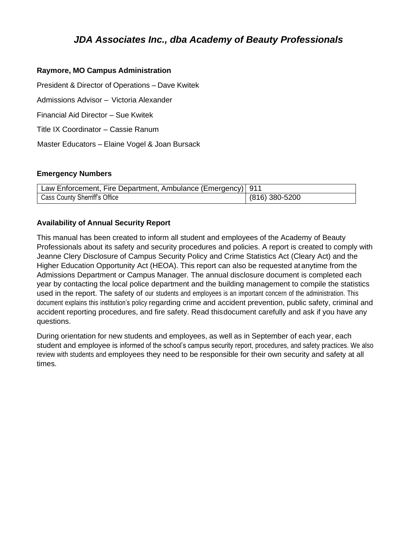# *JDA Associates Inc., dba Academy of Beauty Professionals*

#### **Raymore, MO Campus Administration**

President & Director of Operations – Dave Kwitek

Admissions Advisor – Victoria Alexander

Financial Aid Director – Sue Kwitek

Title IX Coordinator – Cassie Ranum

Master Educators – Elaine Vogel & Joan Bursack

#### **Emergency Numbers**

| Law Enforcement, Fire Department, Ambulance (Emergency) 911 |                |
|-------------------------------------------------------------|----------------|
| <b>Cass County Sherriff's Office</b>                        | (816) 380-5200 |

# **Availability of Annual Security Report**

This manual has been created to inform all student and employees of the Academy of Beauty Professionals about its safety and security procedures and policies. A report is created to comply with Jeanne Clery Disclosure of Campus Security Policy and Crime Statistics Act (Cleary Act) and the Higher Education Opportunity Act (HEOA). This report can also be requested at anytime from the Admissions Department or Campus Manager. The annual disclosure document is completed each year by contacting the local police department and the building management to compile the statistics used in the report. The safety of our students and employees is an important concern of the administration. This document explains this institution's policy regarding crime and accident prevention, public safety, criminal and accident reporting procedures, and fire safety. Read thisdocument carefully and ask if you have any questions.

During orientation for new students and employees, as well as in September of each year, each student and employee is informed of the school's campus security report, procedures, and safety practices. We also review with students and employees they need to be responsible for their own security and safety at all times.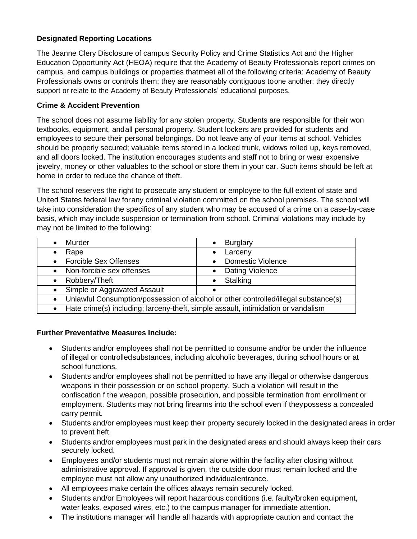# **Designated Reporting Locations**

The Jeanne Clery Disclosure of campus Security Policy and Crime Statistics Act and the Higher Education Opportunity Act (HEOA) require that the Academy of Beauty Professionals report crimes on campus, and campus buildings or properties thatmeet all of the following criteria: Academy of Beauty Professionals owns or controls them; they are reasonably contiguous toone another; they directly support or relate to the Academy of Beauty Professionals' educational purposes.

# **Crime & Accident Prevention**

The school does not assume liability for any stolen property. Students are responsible for their won textbooks, equipment, andall personal property. Student lockers are provided for students and employees to secure their personal belongings. Do not leave any of your items at school. Vehicles should be properly secured; valuable items stored in a locked trunk, widows rolled up, keys removed, and all doors locked. The institution encourages students and staff not to bring or wear expensive jewelry, money or other valuables to the school or store them in your car. Such items should be left at home in order to reduce the chance of theft.

The school reserves the right to prosecute any student or employee to the full extent of state and United States federal law forany criminal violation committed on the school premises. The school will take into consideration the specifics of any student who may be accused of a crime on a case-by-case basis, which may include suspension or termination from school. Criminal violations may include by may not be limited to the following:

| Murder                                                                                      | <b>Burglary</b>                                                                     |
|---------------------------------------------------------------------------------------------|-------------------------------------------------------------------------------------|
| Rape<br>$\bullet$                                                                           | Larceny<br>٠                                                                        |
| <b>Forcible Sex Offenses</b><br>$\bullet$                                                   | <b>Domestic Violence</b><br>$\bullet$                                               |
| Non-forcible sex offenses<br>$\bullet$                                                      | Dating Violence<br>$\bullet$                                                        |
| Robbery/Theft<br>$\bullet$                                                                  | Stalking<br>$\bullet$                                                               |
| Simple or Aggravated Assault<br>$\bullet$                                                   |                                                                                     |
| $\bullet$                                                                                   | Unlawful Consumption/possession of alcohol or other controlled/illegal substance(s) |
| Hate crime(s) including larceny-theft simple assault intimidation or vandalism<br>$\bullet$ |                                                                                     |

• Hate crime(s) including; larceny-theft, simple assault, intimidation or vandalism

# **Further Preventative Measures Include:**

- Students and/or employees shall not be permitted to consume and/or be under the influence of illegal or controlledsubstances, including alcoholic beverages, during school hours or at school functions.
- Students and/or employees shall not be permitted to have any illegal or otherwise dangerous weapons in their possession or on school property. Such a violation will result in the confiscation f the weapon, possible prosecution, and possible termination from enrollment or employment. Students may not bring firearms into the school even if theypossess a concealed carry permit.
- Students and/or employees must keep their property securely locked in the designated areas in order to prevent heft.
- Students and/or employees must park in the designated areas and should always keep their cars securely locked.
- Employees and/or students must not remain alone within the facility after closing without administrative approval. If approval is given, the outside door must remain locked and the employee must not allow any unauthorized individualentrance.
- All employees make certain the offices always remain securely locked.
- Students and/or Employees will report hazardous conditions (i.e. faulty/broken equipment, water leaks, exposed wires, etc.) to the campus manager for immediate attention.
- The institutions manager will handle all hazards with appropriate caution and contact the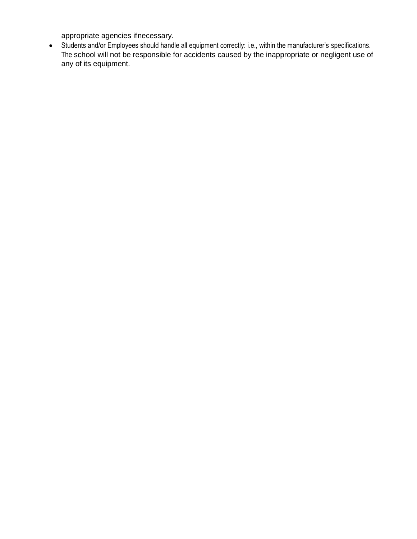appropriate agencies ifnecessary.

• Students and/or Employees should handle all equipment correctly: i.e., within the manufacturer's specifications. The school will not be responsible for accidents caused by the inappropriate or negligent use of any of its equipment.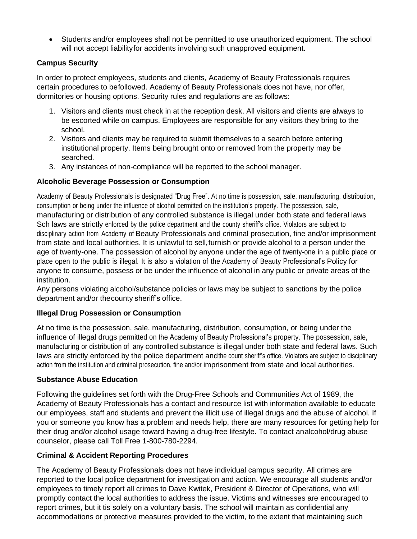• Students and/or employees shall not be permitted to use unauthorized equipment. The school will not accept liabilityfor accidents involving such unapproved equipment.

# **Campus Security**

In order to protect employees, students and clients, Academy of Beauty Professionals requires certain procedures to befollowed. Academy of Beauty Professionals does not have, nor offer, dormitories or housing options. Security rules and regulations are as follows:

- 1. Visitors and clients must check in at the reception desk. All visitors and clients are always to be escorted while on campus. Employees are responsible for any visitors they bring to the school.
- 2. Visitors and clients may be required to submit themselves to a search before entering institutional property. Items being brought onto or removed from the property may be searched.
- 3. Any instances of non-compliance will be reported to the school manager.

# **Alcoholic Beverage Possession or Consumption**

Academy of Beauty Professionals is designated "Drug Free". At no time is possession, sale, manufacturing, distribution, consumption or being under the influence of alcohol permitted on the institution's property. The possession, sale, manufacturing or distribution of any controlled substance is illegal under both state and federal laws Sch laws are strictly enforced by the police department and the county sheriff's office. Violators are subject to disciplinary action from Academy of Beauty Professionals and criminal prosecution, fine and/or imprisonment from state and local authorities. It is unlawful to sell,furnish or provide alcohol to a person under the age of twenty-one. The possession of alcohol by anyone under the age of twenty-one in a public place or place open to the public is illegal. It is also a violation of the Academy of Beauty Professional's Policy for anyone to consume, possess or be under the influence of alcohol in any public or private areas of the institution.

Any persons violating alcohol/substance policies or laws may be subject to sanctions by the police department and/or thecounty sheriff's office.

# **Illegal Drug Possession or Consumption**

At no time is the possession, sale, manufacturing, distribution, consumption, or being under the influence of illegal drugs permitted on the Academy of Beauty Professional's property. The possession, sale, manufacturing or distribution of any controlled substance is illegal under both state and federal laws. Such laws are strictly enforced by the police department and the count sheriff's office. Violators are subject to disciplinary action from the institution and criminal prosecution, fine and/or imprisonment from state and local authorities.

# **Substance Abuse Education**

Following the guidelines set forth with the Drug-Free Schools and Communities Act of 1989, the Academy of Beauty Professionals has a contact and resource list with information available to educate our employees, staff and students and prevent the illicit use of illegal drugs and the abuse of alcohol. If you or someone you know has a problem and needs help, there are many resources for getting help for their drug and/or alcohol usage toward having a drug-free lifestyle. To contact analcohol/drug abuse counselor, please call Toll Free 1-800-780-2294.

# **Criminal & Accident Reporting Procedures**

The Academy of Beauty Professionals does not have individual campus security. All crimes are reported to the local police department for investigation and action. We encourage all students and/or employees to timely report all crimes to Dave Kwitek, President & Director of Operations, who will promptly contact the local authorities to address the issue. Victims and witnesses are encouraged to report crimes, but it tis solely on a voluntary basis. The school will maintain as confidential any accommodations or protective measures provided to the victim, to the extent that maintaining such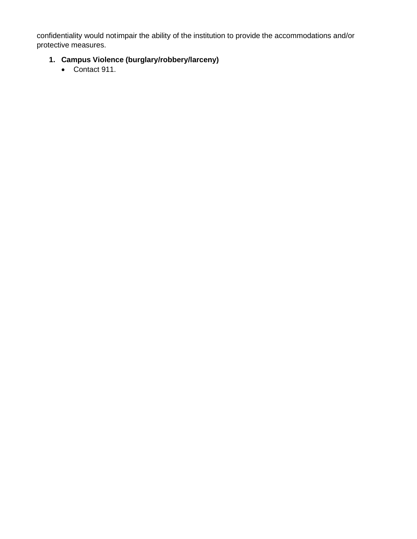confidentiality would notimpair the ability of the institution to provide the accommodations and/or protective measures.

# **1. Campus Violence (burglary/robbery/larceny)**

• Contact 911.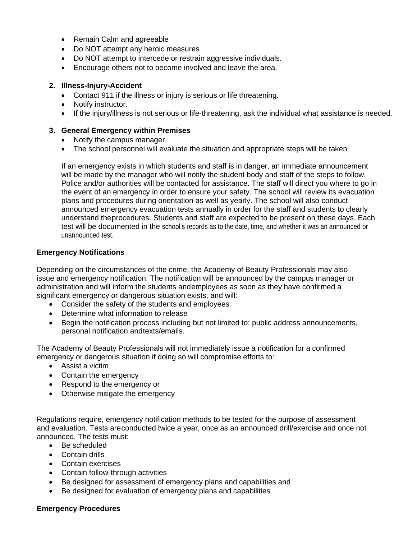- Remain Calm and agreeable
- Do NOT attempt any heroic measures
- Do NOT attempt to intercede or restrain aggressive individuals.
- Encourage others not to become involved and leave the area.

#### **2. Illness-Injury-Accident**

- Contact 911 if the illness or injury is serious or life threatening.
- Notify instructor.
- If the injury/illness is not serious or life-threatening, ask the individual what assistance is needed.

#### **3. General Emergency within Premises**

- Notify the campus manager
- The school personnel will evaluate the situation and appropriate steps will be taken

If an emergency exists in which students and staff is in danger, an immediate announcement will be made by the manager who will notify the student body and staff of the steps to follow. Police and/or authorities will be contacted for assistance. The staff will direct you where to go in the event of an emergency in order to ensure your safety. The school will review its evacuation plans and procedures during orientation as well as yearly. The school will also conduct announced emergency evacuation tests annually in order for the staff and students to clearly understand theprocedures. Students and staff are expected to be present on these days. Each test will be documented in the school's records as to the date, time, and whether it was an announced or unannounced test.

#### **Emergency Notifications**

Depending on the circumstances of the crime, the Academy of Beauty Professionals may also issue and emergency notification. The notification will be announced by the campus manager or administration and will inform the students andemployees as soon as they have confirmed a significant emergency or dangerous situation exists, and will:

- Consider the safety of the students and employees
- Determine what information to release
- Begin the notification process including but not limited to: public address announcements, personal notification andtexts/emails.

The Academy of Beauty Professionals will not immediately issue a notification for a confirmed emergency or dangerous situation if doing so will compromise efforts to:

- Assist a victim
- Contain the emergency
- Respond to the emergency or
- Otherwise mitigate the emergency

Regulations require, emergency notification methods to be tested for the purpose of assessment and evaluation. Tests areconducted twice a year, once as an announced drill/exercise and once not announced. The tests must:

- Be scheduled
- Contain drills
- Contain exercises
- Contain follow-through activities
- Be designed for assessment of emergency plans and capabilities and
- Be designed for evaluation of emergency plans and capabilities

#### **Emergency Procedures**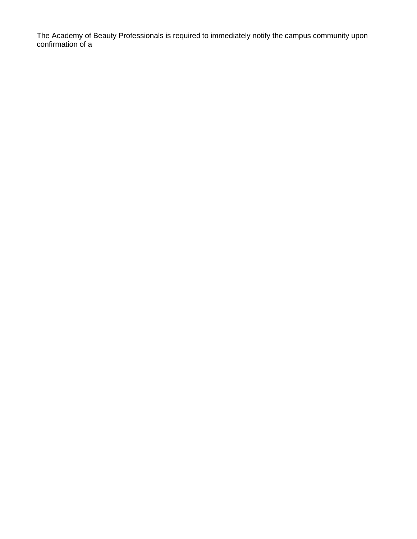The Academy of Beauty Professionals is required to immediately notify the campus community upon confirmation of a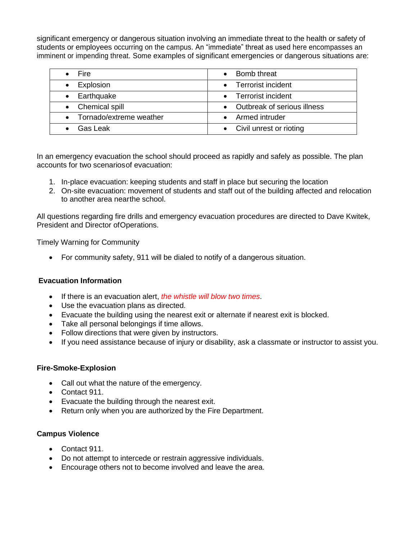significant emergency or dangerous situation involving an immediate threat to the health or safety of students or employees occurring on the campus. An "immediate" threat as used here encompasses an imminent or impending threat. Some examples of significant emergencies or dangerous situations are:

| <b>Fire</b>               | Bomb threat                   |
|---------------------------|-------------------------------|
| Explosion                 | • Terrorist incident          |
| • Earthquake              | • Terrorist incident          |
| • Chemical spill          | • Outbreak of serious illness |
| • Tornado/extreme weather | • Armed intruder              |
| Gas Leak                  | • Civil unrest or rioting     |

In an emergency evacuation the school should proceed as rapidly and safely as possible. The plan accounts for two scenariosof evacuation:

- 1. In-place evacuation: keeping students and staff in place but securing the location
- 2. On-site evacuation: movement of students and staff out of the building affected and relocation to another area nearthe school.

All questions regarding fire drills and emergency evacuation procedures are directed to Dave Kwitek, President and Director ofOperations.

Timely Warning for Community

• For community safety, 911 will be dialed to notify of a dangerous situation.

# **Evacuation Information**

- If there is an evacuation alert, *the whistle will blow two times*.
- Use the evacuation plans as directed.
- Evacuate the building using the nearest exit or alternate if nearest exit is blocked.
- Take all personal belongings if time allows.
- Follow directions that were given by instructors.
- If you need assistance because of injury or disability, ask a classmate or instructor to assist you.

#### **Fire-Smoke-Explosion**

- Call out what the nature of the emergency.
- Contact 911.
- Evacuate the building through the nearest exit.
- Return only when you are authorized by the Fire Department.

#### **Campus Violence**

- Contact 911.
- Do not attempt to intercede or restrain aggressive individuals.
- Encourage others not to become involved and leave the area.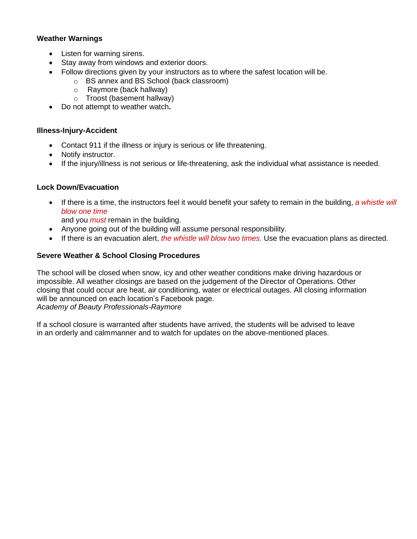# **Weather Warnings**

- Listen for warning sirens.
- Stay away from windows and exterior doors.
- Follow directions given by your instructors as to where the safest location will be.
	- o BS annex and BS School (back classroom)
	- o Raymore (back hallway)
	- o Troost (basement hallway)
- Do not attempt to weather watch**.**

#### **Illness-Injury-Accident**

- Contact 911 if the illness or injury is serious or life threatening.
- Notify instructor.
- If the injury/illness is not serious or life-threatening, ask the individual what assistance is needed.

#### **Lock Down/Evacuation**

• If there is a time, the instructors feel it would benefit your safety to remain in the building, *a whistle will blow one time*

and you *must* remain in the building.

- Anyone going out of the building will assume personal responsibility.
- If there is an evacuation alert, *the whistle will blow two times.* Use the evacuation plans as directed.

#### **Severe Weather & School Closing Procedures**

The school will be closed when snow, icy and other weather conditions make driving hazardous or impossible. All weather closings are based on the judgement of the Director of Operations. Other closing that could occur are heat, air conditioning, water or electrical outages. All closing information will be announced on each location's Facebook page.

*Academy of Beauty Professionals-Raymore*

If a school closure is warranted after students have arrived, the students will be advised to leave in an orderly and calmmanner and to watch for updates on the above-mentioned places.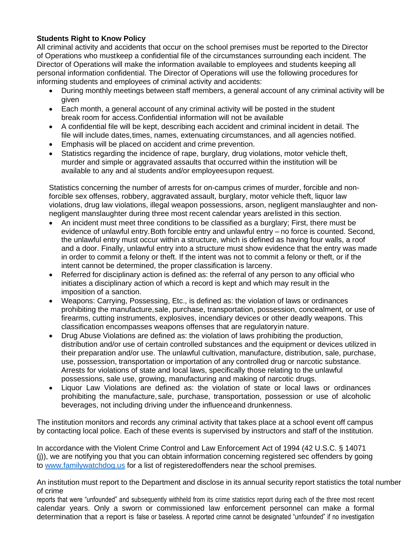# **Students Right to Know Policy**

All criminal activity and accidents that occur on the school premises must be reported to the Director of Operations who mustkeep a confidential file of the circumstances surrounding each incident. The Director of Operations will make the information available to employees and students keeping all personal information confidential. The Director of Operations will use the following procedures for informing students and employees of criminal activity and accidents:

- During monthly meetings between staff members, a general account of any criminal activity will be given
- Each month, a general account of any criminal activity will be posted in the student break room for access.Confidential information will not be available
- A confidential file will be kept, describing each accident and criminal incident in detail. The file will include dates,times, names, extenuating circumstances, and all agencies notified.
- Emphasis will be placed on accident and crime prevention.
- Statistics regarding the incidence of rape, burglary, drug violations, motor vehicle theft, murder and simple or aggravated assaults that occurred within the institution will be available to any and al students and/or employeesupon request.

Statistics concerning the number of arrests for on-campus crimes of murder, forcible and nonforcible sex offenses, robbery, aggravated assault, burglary, motor vehicle theft, liquor law violations, drug law violations, illegal weapon possessions, arson, negligent manslaughter and nonnegligent manslaughter during three most recent calendar years arelisted in this section.

- An incident must meet three conditions to be classified as a burglary; First, there must be evidence of unlawful entry.Both forcible entry and unlawful entry – no force is counted. Second, the unlawful entry must occur within a structure, which is defined as having four walls, a roof and a door. Finally, unlawful entry into a structure must show evidence that the entry was made in order to commit a felony or theft. If the intent was not to commit a felony or theft, or if the intent cannot be determined, the proper classification is larceny.
- Referred for disciplinary action is defined as: the referral of any person to any official who initiates a disciplinary action of which a record is kept and which may result in the imposition of a sanction.
- Weapons: Carrying, Possessing, Etc., is defined as: the violation of laws or ordinances prohibiting the manufacture,sale, purchase, transportation, possession, concealment, or use of firearms, cutting instruments, explosives, incendiary devices or other deadly weapons. This classification encompasses weapons offenses that are regulatoryin nature.
- Drug Abuse Violations are defined as: the violation of laws prohibiting the production, distribution and/or use of certain controlled substances and the equipment or devices utilized in their preparation and/or use. The unlawful cultivation, manufacture, distribution, sale, purchase, use, possession, transportation or importation of any controlled drug or narcotic substance. Arrests for violations of state and local laws, specifically those relating to the unlawful possessions, sale use, growing, manufacturing and making of narcotic drugs.
- Liquor Law Violations are defined as: the violation of state or local laws or ordinances prohibiting the manufacture, sale, purchase, transportation, possession or use of alcoholic beverages, not including driving under the influenceand drunkenness.

The institution monitors and records any criminal activity that takes place at a school event off campus by contacting local police. Each of these events is supervised by instructors and staff of the institution.

In accordance with the Violent Crime Control and Law Enforcement Act of 1994 (42 U.S.C. § 14071 (j)), we are notifying you that you can obtain information concerning registered sec offenders by going to [www.familywatchdog.us](http://www.familywatchdog.us/) for a list of registeredoffenders near the school premises.

An institution must report to the Department and disclose in its annual security report statistics the total number of crime

reports that were "unfounded" and subsequently withheld from its crime statistics report during each of the three most recent calendar years. Only a sworn or commissioned law enforcement personnel can make a formal determination that a report is false or baseless. A reported crime cannot be designated "unfounded" if no investigation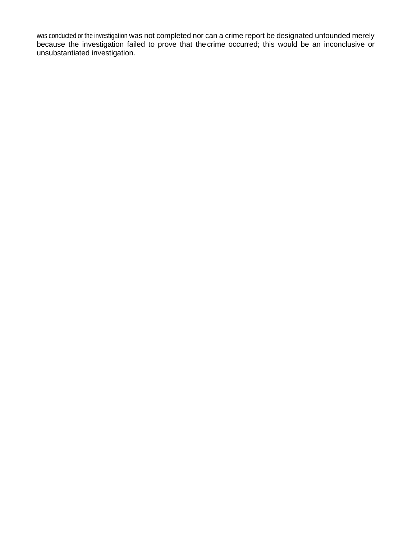was conducted or the investigation was not completed nor can a crime report be designated unfounded merely because the investigation failed to prove that thecrime occurred; this would be an inconclusive or unsubstantiated investigation.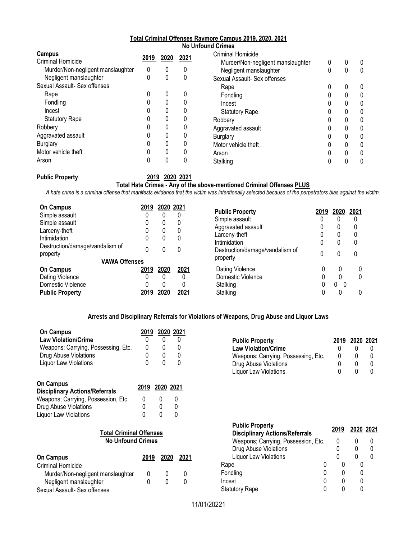#### **Total Criminal Offenses Raymore Campus 2019, 2020, 2021 No Unfound Crimes**

| Campus                            | 2019 | 2020 | 2021 | <b>Criminal Homicide</b>          |   |   |              |
|-----------------------------------|------|------|------|-----------------------------------|---|---|--------------|
| <b>Criminal Homicide</b>          |      |      |      | Murder/Non-negligent manslaughter | 0 | 0 | 0            |
| Murder/Non-negligent manslaughter | 0    | 0    | 0    | Negligent manslaughter            | 0 | 0 | $\mathbf{0}$ |
| Negligent manslaughter            |      | 0    | 0    | Sexual Assault- Sex offenses      |   |   |              |
| Sexual Assault- Sex offenses      |      |      |      | Rape                              | 0 | 0 | 0            |
| Rape                              |      | 0    |      | Fondling                          | 0 | 0 | 0            |
| Fondling                          |      | 0    |      | Incest                            |   | 0 | 0            |
| Incest                            |      | 0    |      | <b>Statutory Rape</b>             | 0 | 0 | 0            |
| <b>Statutory Rape</b>             |      | 0    |      | Robbery                           |   | 0 | 0            |
| Robbery                           |      | 0    |      | Aggravated assault                |   | 0 | 0            |
| Aggravated assault                |      | 0    |      | <b>Burglary</b>                   | 0 | 0 | 0            |
| <b>Burglary</b>                   |      | 0    |      | Motor vehicle theft               |   | 0 | 0            |
| Motor vehicle theft               |      | 0    |      | Arson                             | 0 | 0 | 0            |
| Arson                             |      | 0    |      | Stalking                          |   |   | 0            |

**Public Property 2019 2020 2021**

#### **Total Hate Crimes - Any of the above-mentioned Criminal Offenses PLUS**

*A hate crime is a criminal offense that manifests evidence that the victim was intentionally selected because of the perpetrators bias against the victim.*

| <b>On Campus</b>                | 2019 | 2020 2021 |      | <b>Public Property</b>          | 2019 | 2020     | 2021 |
|---------------------------------|------|-----------|------|---------------------------------|------|----------|------|
| Simple assault                  |      |           |      |                                 |      |          |      |
| Simple assault                  | 0    | 0         | 0    | Simple assault                  | 0    |          | 0    |
| Larceny-theft                   |      | 0         | 0    | Aggravated assault              |      |          | 0    |
| Intimidation                    |      | 0         | 0    | Larceny-theft                   |      | 0        | 0    |
| Destruction/damage/vandalism of |      |           |      | Intimidation                    | 0    | 0        | 0    |
| property                        |      | 0         | 0    | Destruction/damage/vandalism of | 0    |          | 0    |
| <b>VAWA Offenses</b>            |      |           |      | property                        |      |          |      |
| <b>On Campus</b>                | 2019 | 2020      | 2021 | Dating Violence                 |      |          |      |
| Dating Violence                 | 0    | 0         |      | Domestic Violence               |      |          |      |
| Domestic Violence               |      | 0         |      | Stalking                        |      | 0<br>- 0 |      |
| <b>Public Property</b>          | 2019 | 2020      | 2021 | Stalking                        |      |          |      |

#### **Arrests and Disciplinary Referrals for Violations of Weapons, Drug Abuse and Liquor Laws**

| <b>On Campus</b><br><b>Law Violation/Crime</b><br>Weapons: Carrying, Possessing, Etc.<br>Drug Abuse Violations<br>Liquor Law Violations                                                                          | 2019<br>0<br>0<br>O | 0<br>n              | 2020 2021<br>0 |
|------------------------------------------------------------------------------------------------------------------------------------------------------------------------------------------------------------------|---------------------|---------------------|----------------|
| <b>On Campus</b><br><b>Disciplinary Actions/Referrals</b><br>Weapons; Carrying, Possession, Etc.<br>Drug Abuse Violations<br>Liquor Law Violations<br><b>Total Criminal Offenses</b><br><b>No Unfound Crimes</b> | 2019<br>0<br>0<br>N | 2020 2021<br>0<br>U | O<br>n         |

| <b>On Campus</b>                  | 2019 | 2020 | 2021         |
|-----------------------------------|------|------|--------------|
| Criminal Homicide                 |      |      |              |
| Murder/Non-negligent manslaughter |      |      | $\Omega$     |
| Negligent manslaughter            |      |      | $\mathbf{I}$ |
| Sexual Assault- Sex offenses      |      |      |              |

| <b>Public Property</b>              | 2019 | 2020 2021    |  |
|-------------------------------------|------|--------------|--|
| <b>Law Violation/Crime</b>          |      |              |  |
| Weapons: Carrying, Possessing, Etc. |      |              |  |
| Drug Abuse Violations               |      | $\mathbf{U}$ |  |
| Liquor Law Violations               |      |              |  |

| <b>Public Property</b><br><b>Disciplinary Actions/Referrals</b> | 2019 | 2020 2021 |  |
|-----------------------------------------------------------------|------|-----------|--|
| Weapons; Carrying, Possession, Etc.                             |      | 0         |  |
| Drug Abuse Violations                                           |      | 0         |  |
| Liquor Law Violations                                           |      | O         |  |
| Rape<br>U                                                       |      |           |  |
| Fondling<br>0                                                   | 0    |           |  |
| Incest<br>0                                                     | O    |           |  |
| <b>Statutory Rape</b>                                           |      |           |  |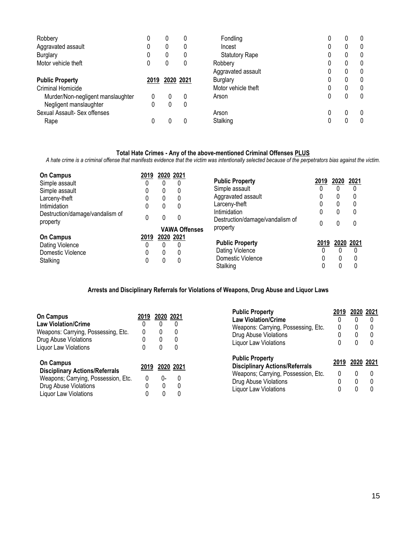| Robbery                           |      | 0         |   | Fondling              | 0 | 0 |
|-----------------------------------|------|-----------|---|-----------------------|---|---|
| Aggravated assault                |      | 0         |   | Incest                | 0 | 0 |
| Burglary                          |      | 0         |   | <b>Statutory Rape</b> | 0 | 0 |
| Motor vehicle theft               |      | 0         | 0 | Robbery               | 0 | 0 |
|                                   |      |           |   | Aggravated assault    | 0 | 0 |
| <b>Public Property</b>            | 2019 | 2020 2021 |   | <b>Burglary</b>       | 0 | 0 |
| <b>Criminal Homicide</b>          |      |           |   | Motor vehicle theft   | 0 | 0 |
| Murder/Non-negligent manslaughter | 0    |           | 0 | Arson                 | 0 | 0 |
| Negligent manslaughter            | 0    | 0         | 0 |                       |   |   |
| Sexual Assault- Sex offenses      |      |           |   | Arson                 | 0 | 0 |
| Rape                              | 0    |           |   | Stalking              | 0 | 0 |

#### **Total Hate Crimes - Any of the above-mentioned Criminal Offenses PLUS**

*A hate crime is a criminal offense that manifests evidence that the victim was intentionally selected because of the perpetrators bias against the victim.*

| <b>On Campus</b>                | 2019 |   | 2020 2021            |                                 |      |              |           |
|---------------------------------|------|---|----------------------|---------------------------------|------|--------------|-----------|
| Simple assault                  | 0    | 0 |                      | <b>Public Property</b>          | 2019 | 2020         | 2021      |
| Simple assault                  | 0    | 0 | 0                    | Simple assault                  |      | 0            | $\Omega$  |
| Larceny-theft                   | 0    | 0 | 0                    | Aggravated assault              |      | 0            | 0         |
| Intimidation                    | 0    | 0 | 0                    | Larceny-theft                   |      | 0            | 0         |
| Destruction/damage/vandalism of |      |   |                      | Intimidation                    |      | $\mathbf{0}$ | 0         |
| property                        | 0    | 0 | 0                    | Destruction/damage/vandalism of |      | 0            | $\Omega$  |
|                                 |      |   | <b>VAWA Offenses</b> | property                        |      |              |           |
| <b>On Campus</b>                | 2019 |   | 2020 2021            |                                 |      |              |           |
| Dating Violence                 | 0    |   |                      | <b>Public Property</b>          | 2019 |              | 2020 2021 |
| Domestic Violence               | 0    | 0 | 0                    | Dating Violence                 | 0    |              | 0         |
| Stalking                        | 0    | 0 | 0                    | Domestic Violence               |      | 0            | 0         |
|                                 |      |   |                      | Stalking                        |      |              | 0         |

#### **Arrests and Disciplinary Referrals for Violations of Weapons, Drug Abuse and Liquor Laws**

|   |      |      |                                                                 | 2019                                                                                                                                                                           |                        | 2020 2021 |
|---|------|------|-----------------------------------------------------------------|--------------------------------------------------------------------------------------------------------------------------------------------------------------------------------|------------------------|-----------|
|   |      |      | <b>Law Violation/Crime</b>                                      |                                                                                                                                                                                |                        |           |
|   |      |      |                                                                 | 0                                                                                                                                                                              | 0                      |           |
|   |      |      |                                                                 |                                                                                                                                                                                | 0                      |           |
|   |      | 0    |                                                                 |                                                                                                                                                                                | 0                      |           |
|   |      |      |                                                                 |                                                                                                                                                                                |                        |           |
|   |      |      | <b>Public Property</b><br><b>Disciplinary Actions/Referrals</b> | 2019                                                                                                                                                                           |                        | 2020 2021 |
|   |      |      |                                                                 | 0                                                                                                                                                                              |                        |           |
| 0 | በ-   | 0    |                                                                 |                                                                                                                                                                                | 0                      |           |
|   | 0    |      |                                                                 |                                                                                                                                                                                |                        |           |
|   |      |      |                                                                 |                                                                                                                                                                                |                        |           |
|   | 2019 | 2019 | 2020 2021<br>$\Omega$<br>0<br>0<br>2020 2021                    | Weapons: Carrying, Possessing, Etc.<br>Drug Abuse Violations<br>Liquor Law Violations<br>Weapons; Carrying, Possession, Etc.<br>Drug Abuse Violations<br>Liquor Law Violations | <b>Public Property</b> |           |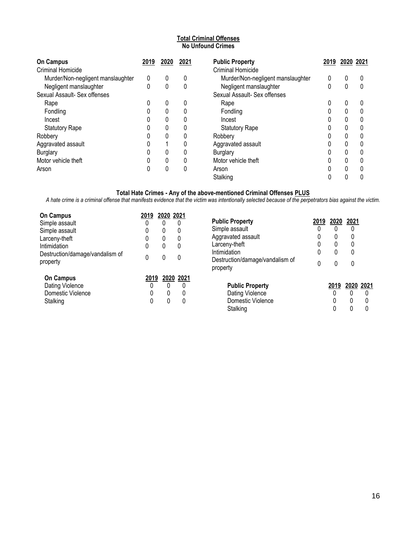#### **Total Criminal Offenses No Unfound Crimes**

| <b>On Campus</b>                  | 2019 | 2020 | 2021 | <b>Public Property</b>            | 2019 | 2020 2021 |  |
|-----------------------------------|------|------|------|-----------------------------------|------|-----------|--|
| Criminal Homicide                 |      |      |      | <b>Criminal Homicide</b>          |      |           |  |
| Murder/Non-negligent manslaughter | 0    | 0    | 0    | Murder/Non-negligent manslaughter | 0    | 0         |  |
| Negligent manslaughter            | 0    | 0    | 0    | Negligent manslaughter            | 0    | 0         |  |
| Sexual Assault- Sex offenses      |      |      |      | Sexual Assault- Sex offenses      |      |           |  |
| Rape                              | 0    | 0    | 0    | Rape                              | 0    | 0         |  |
| Fondling                          | 0    | 0    | 0    | Fondling                          | 0    | 0         |  |
| Incest                            | 0    | 0    |      | Incest                            |      | 0         |  |
| <b>Statutory Rape</b>             | 0    | 0    | 0    | <b>Statutory Rape</b>             | 0    | 0         |  |
| Robbery                           | 0    |      |      | Robbery                           |      | 0         |  |
| Aggravated assault                | 0    |      | 0    | Aggravated assault                | 0    | 0         |  |
| <b>Burglary</b>                   | 0    | 0    | 0    | <b>Burglary</b>                   | 0    | 0         |  |
| Motor vehicle theft               | 0    | 0    | 0    | Motor vehicle theft               | 0    | 0         |  |
| Arson                             | 0    |      | 0    | Arson                             | 0    | 0         |  |
|                                   |      |      |      | Stalking                          |      |           |  |

#### **Total Hate Crimes - Any of the above-mentioned Criminal Offenses PLUS**

*A hate crime is a criminal offense that manifests evidence that the victim was intentionally selected because of the perpetrators bias against the victim.*

| <b>On Campus</b><br>Simple assault<br>Simple assault<br>Larceny-theft<br>Intimidation<br>Destruction/damage/vandalism of<br>property | 2019<br>0<br>0<br>0<br>0<br>0 | 2020 2021<br>0<br>0<br>0 | 0<br>0<br>0<br>0         | <b>Public Property</b><br>Simple assault<br>Aggravated assault<br>Larceny-theft<br>Intimidation<br>Destruction/damage/vandalism of<br>property | 2019<br>0<br>0<br>0<br>0<br>0 | 2020<br>0<br>0<br>0<br>0<br>0 | 2021<br>0<br>0<br>0<br>0<br>0 |   |
|--------------------------------------------------------------------------------------------------------------------------------------|-------------------------------|--------------------------|--------------------------|------------------------------------------------------------------------------------------------------------------------------------------------|-------------------------------|-------------------------------|-------------------------------|---|
| <b>On Campus</b><br>Dating Violence<br>Domestic Violence<br>Stalking                                                                 | 2019                          | 0<br>0<br>0              | 2020 2021<br>0<br>0<br>0 | <b>Public Property</b><br>Dating Violence<br>Domestic Violence<br>Stalking                                                                     |                               | 2019<br>0                     | 2020 2021<br>0<br>0           | 0 |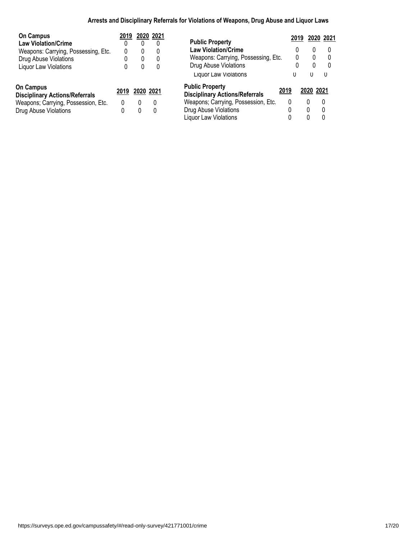# **Arrests and Disciplinary Referrals for Violations of Weapons, Drug Abuse and Liquor Laws**

| <b>On Campus</b>                                          | 2019 |           | 2020 2021 |                                                                         | 2019 |           | 2020 2021 |
|-----------------------------------------------------------|------|-----------|-----------|-------------------------------------------------------------------------|------|-----------|-----------|
| <b>Law Violation/Crime</b>                                |      |           |           | <b>Public Property</b>                                                  |      |           |           |
| Weapons: Carrying, Possessing, Etc.                       | 0    | 0         |           | <b>Law Violation/Crime</b>                                              |      | 0         |           |
| Drug Abuse Violations                                     |      | 0         | 0         | Weapons: Carrying, Possessing, Etc.                                     | 0    | 0         |           |
| <b>Liquor Law Violations</b>                              |      | 0         | 0         | Drug Abuse Violations                                                   |      | 0         |           |
|                                                           |      |           |           | <b>Liquor Law Violations</b>                                            | U    | 0         | 0         |
| <b>On Campus</b><br><b>Disciplinary Actions/Referrals</b> | 2019 | 2020 2021 |           | <b>Public Property</b><br>2019<br><b>Disciplinary Actions/Referrals</b> |      | 2020 2021 |           |
| Weapons; Carrying, Possession, Etc.                       | 0    | 0         | 0         | Weapons; Carrying, Possession, Etc.                                     | 0    |           | $\Omega$  |
| Drug Abuse Violations                                     |      | 0         | 0         | Drug Abuse Violations                                                   | 0    | 0         | $\Omega$  |
|                                                           |      |           |           | Liguor Law Violations                                                   |      |           | 0         |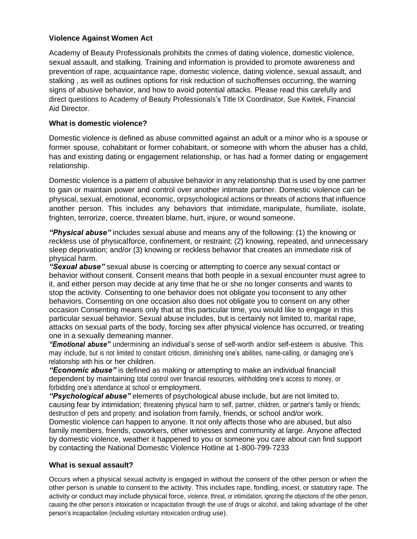# **Violence Against Women Act**

Academy of Beauty Professionals prohibits the crimes of dating violence, domestic violence, sexual assault, and stalking. Training and information is provided to promote awareness and prevention of rape, acquaintance rape, domestic violence, dating violence, sexual assault, and stalking , as well as outlines options for risk reduction of suchoffenses occurring, the warning signs of abusive behavior, and how to avoid potential attacks. Please read this carefully and direct questions to Academy of Beauty Professionals's Title IX Coordinator, Sue Kwitek, Financial Aid Director.

# **What is domestic violence?**

Domestic violence is defined as abuse committed against an adult or a minor who is a spouse or former spouse, cohabitant or former cohabitant, or someone with whom the abuser has a child, has and existing dating or engagement relationship, or has had a former dating or engagement relationship.

Domestic violence is a pattern of abusive behavior in any relationship that is used by one partner to gain or maintain power and control over another intimate partner. Domestic violence can be physical, sexual, emotional, economic, orpsychological actions or threats of actions that influence another person. This includes any behaviors that intimidate, manipulate, humiliate, isolate, frighten, terrorize, coerce, threaten blame, hurt, injure, or wound someone.

*"Physical abuse"* includes sexual abuse and means any of the following: (1) the knowing or reckless use of physicalforce, confinement, or restraint; (2) knowing, repeated, and unnecessary sleep deprivation; and/or (3) knowing or reckless behavior that creates an immediate risk of physical harm.

*"Sexual abuse"* sexual abuse is coercing or attempting to coerce any sexual contact or behavior without consent. Consent means that both people in a sexual encounter must agree to it, and either person may decide at any time that he or she no longer consents and wants to stop the activity. Consenting to one behavior does not obligate you toconsent to any other behaviors. Consenting on one occasion also does not obligate you to consent on any other occasion Consenting means only that at this particular time, you would like to engage in this particular sexual behavior. Sexual abuse includes, but is certainly not limited to, marital rape, attacks on sexual parts of the body, forcing sex after physical violence has occurred, or treating one in a sexually demeaning manner.

*"Emotional abuse"* undermining an individual's sense of self-worth and/or self-esteem is abusive. This may include, but is not limited to constant criticism, diminishing one's abilities, name-calling, or damaging one's relationship with his or her children.

*"Economic abuse"* is defined as making or attempting to make an individual financiall dependent by maintaining total control over financial resources, withholding one's access to money, or forbidding one's attendance at school or employment.

*"Psychological abuse"* elements of psychological abuse include, but are not limited to, causing fear by intimidation; threatening physical harm to self, partner, children, or partner's family or friends; destruction of pets and property; and isolation from family, friends, or school and/or work. Domestic violence can happen to anyone. It not only affects those who are abused, but also family members, friends, coworkers, other witnesses and community at large. Anyone affected by domestic violence, weather it happened to you or someone you care about can find support by contacting the National Domestic Violence Hotline at 1-800-799-7233

# **What is sexual assault?**

Occurs when a physical sexual activity is engaged in without the consent of the other person or when the other person is unable to consent to the activity. This includes rape, fondling, incest, or statutory rape. The activity or conduct may include physical force, violence, threat, or intimidation, ignoring the objections of the other person, causing the other person's intoxication or incapacitation through the use of drugs or alcohol, and taking advantage of the other person's incapacitation (including voluntary intoxication ordrug use).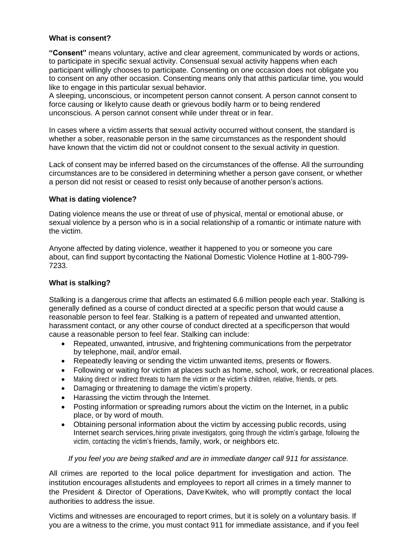### **What is consent?**

**"Consent"** means voluntary, active and clear agreement, communicated by words or actions, to participate in specific sexual activity. Consensual sexual activity happens when each participant willingly chooses to participate. Consenting on one occasion does not obligate you to consent on any other occasion. Consenting means only that atthis particular time, you would like to engage in this particular sexual behavior.

A sleeping, unconscious, or incompetent person cannot consent. A person cannot consent to force causing or likelyto cause death or grievous bodily harm or to being rendered unconscious. A person cannot consent while under threat or in fear.

In cases where a victim asserts that sexual activity occurred without consent, the standard is whether a sober, reasonable person in the same circumstances as the respondent should have known that the victim did not or couldnot consent to the sexual activity in question.

Lack of consent may be inferred based on the circumstances of the offense. All the surrounding circumstances are to be considered in determining whether a person gave consent, or whether a person did not resist or ceased to resist only because of another person's actions.

#### **What is dating violence?**

Dating violence means the use or threat of use of physical, mental or emotional abuse, or sexual violence by a person who is in a social relationship of a romantic or intimate nature with the victim.

Anyone affected by dating violence, weather it happened to you or someone you care about, can find support bycontacting the National Domestic Violence Hotline at 1-800-799- 7233.

# **What is stalking?**

Stalking is a dangerous crime that affects an estimated 6.6 million people each year. Stalking is generally defined as a course of conduct directed at a specific person that would cause a reasonable person to feel fear. Stalking is a pattern of repeated and unwanted attention, harassment contact, or any other course of conduct directed at a specificperson that would cause a reasonable person to feel fear. Stalking can include:

- Repeated, unwanted, intrusive, and frightening communications from the perpetrator by telephone, mail, and/or email.
- Repeatedly leaving or sending the victim unwanted items, presents or flowers.
- Following or waiting for victim at places such as home, school, work, or recreational places.
- Making direct or indirect threats to harm the victim or the victim's children, relative, friends, or pets.
- Damaging or threatening to damage the victim's property.
- Harassing the victim through the Internet.
- Posting information or spreading rumors about the victim on the Internet, in a public place, or by word of mouth.
- Obtaining personal information about the victim by accessing public records, using Internet search services,hiring private investigators, going through the victim's garbage, following the victim, contacting the victim's friends, family, work, or neighbors etc.

#### *If you feel you are being stalked and are in immediate danger call 911 for assistance.*

All crimes are reported to the local police department for investigation and action. The institution encourages allstudents and employees to report all crimes in a timely manner to the President & Director of Operations, DaveKwitek, who will promptly contact the local authorities to address the issue.

Victims and witnesses are encouraged to report crimes, but it is solely on a voluntary basis. If you are a witness to the crime, you must contact 911 for immediate assistance, and if you feel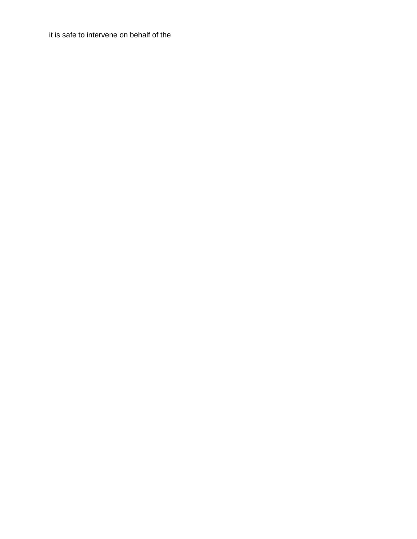it is safe to intervene on behalf of the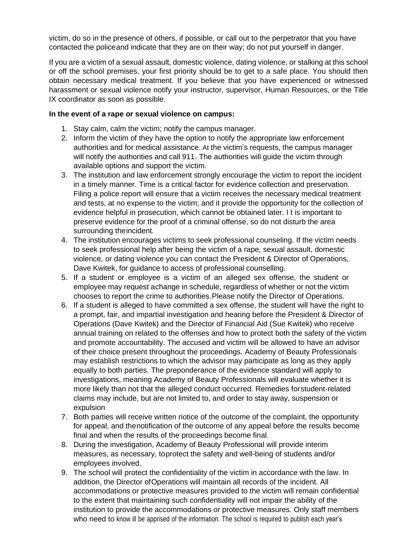victim, do so in the presence of others, if possible, or call out to the perpetrator that you have contacted the policeand indicate that they are on their way; do not put yourself in danger.

If you are a victim of a sexual assault, domestic violence, dating violence, or stalking at this school or off the school premises, your first priority should be to get to a safe place. You should then obtain necessary medical treatment. If you believe that you have experienced or witnessed harassment or sexual violence notify your instructor, supervisor, Human Resources, or the Title IX coordinator as soon as possible.

## **In the event of a rape or sexual violence on campus:**

- 1. Stay calm, calm the victim; notify the campus manager.
- 2. Inform the victim of they have the option to notify the appropriate law enforcement authorities and for medical assistance. At the victim's requests, the campus manager will notify the authorities and call 911. The authorities will guide the victim through available options and support the victim.
- 3. The institution and law enforcement strongly encourage the victim to report the incident in a timely manner. Time is a critical factor for evidence collection and preservation. Filing a police report will ensure that a victim receives the necessary medical treatment and tests, at no expense to the victim; and it provide the opportunity for the collection of evidence helpful in prosecution, which cannot be obtained later. I t is important to preserve evidence for the proof of a criminal offense, so do not disturb the area surrounding theincident.
- 4. The institution encourages victims to seek professional counseling. If the victim needs to seek professional help after being the victim of a rape, sexual assault, domestic violence, or dating violence you can contact the President & Director of Operations, Dave Kwitek, for guidance to access of professional counselling.
- 5. If a student or employee is a victim of an alleged sex offense, the student or employee may request achange in schedule, regardless of whether or not the victim chooses to report the crime to authorities.Please notify the Director of Operations.
- 6. If a student is alleged to have committed a sex offense, the student will have the right to a prompt, fair, and impartial investigation and hearing before the President & Director of Operations (Dave Kwitek) and the Director of Financial Aid (Sue Kwitek) who receive annual training on related to the offenses and how to protect both the safety of the victim and promote accountability. The accused and victim will be allowed to have an advisor of their choice present throughout the proceedings. Academy of Beauty Professionals may establish restrictions to which the advisor may participate as long as they apply equally to both parties. The preponderance of the evidence standard will apply to investigations, meaning Academy of Beauty Professionals will evaluate whether it is more likely than not that the alleged conduct occurred. Remedies forstudent-related claims may include, but are not limited to, and order to stay away, suspension or expulsion
- 7. Both parties will receive written notice of the outcome of the complaint, the opportunity for appeal, and thenotification of the outcome of any appeal before the results become final and when the results of the proceedings become final.
- 8. During the investigation, Academy of Beauty Professional will provide interim measures, as necessary, toprotect the safety and well-being of students and/or employees involved.
- 9. The school will protect the confidentiality of the victim in accordance with the law. In addition, the Director ofOperations will maintain all records of the incident. All accommodations or protective measures provided to the victim will remain confidential to the extent that maintaining such confidentiality will not impair the ability of the institution to provide the accommodations or protective measures. Only staff members who need to know ill be apprised of the information. The school is required to publish each year's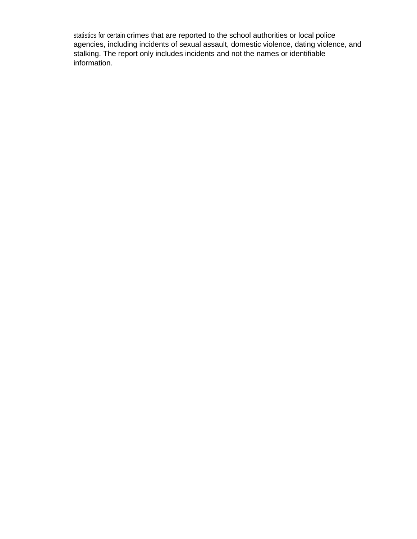statistics for certain crimes that are reported to the school authorities or local police agencies, including incidents of sexual assault, domestic violence, dating violence, and stalking. The report only includes incidents and not the names or identifiable information.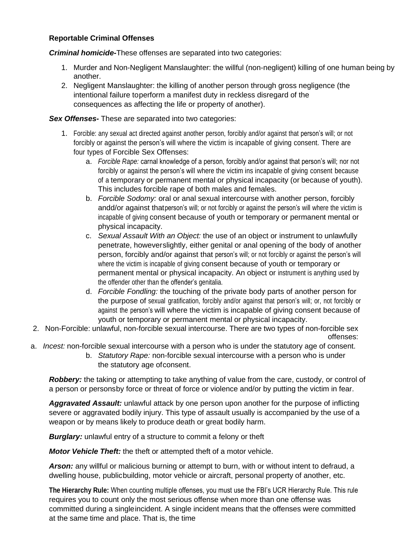# **Reportable Criminal Offenses**

*Criminal homicide-*These offenses are separated into two categories:

- 1. Murder and Non-Negligent Manslaughter: the willful (non-negligent) killing of one human being by another.
- 2. Negligent Manslaughter: the killing of another person through gross negligence (the intentional failure toperform a manifest duty in reckless disregard of the consequences as affecting the life or property of another).

*Sex Offenses-* These are separated into two categories:

- 1. Forcible: any sexual act directed against another person, forcibly and/or against that person's will; or not forcibly or against the person's will where the victim is incapable of giving consent. There are four types of Forcible Sex Offenses:
	- a. *Forcible Rape:* carnal knowledge of a person, forcibly and/or against that person's will; nor not forcibly or against the person's will where the victim ins incapable of giving consent because of a temporary or permanent mental or physical incapacity (or because of youth). This includes forcible rape of both males and females.
	- b. *Forcible Sodomy:* oral or anal sexual intercourse with another person, forcibly andd/or against thatperson's will; or not forcibly or against the person's will where the victim is incapable of giving consent because of youth or temporary or permanent mental or physical incapacity.
	- c. *Sexual Assault With an Object:* the use of an object or instrument to unlawfully penetrate, howeverslightly, either genital or anal opening of the body of another person, forcibly and/or against that person's will; or not forcibly or against the person's will where the victim is incapable of giving consent because of youth or temporary or permanent mental or physical incapacity. An object or instrument is anything used by the offender other than the offender's genitalia.
	- d. *Forcible Fondling:* the touching of the private body parts of another person for the purpose of sexual gratification, forcibly and/or against that person's will; or, not forcibly or against the person's will where the victim is incapable of giving consent because of youth or temporary or permanent mental or physical incapacity.
- 2. Non-Forcible: unlawful, non-forcible sexual intercourse. There are two types of non-forcible sex offenses:
- a. *Incest:* non-forcible sexual intercourse with a person who is under the statutory age of consent.
	- b. *Statutory Rape:* non-forcible sexual intercourse with a person who is under the statutory age ofconsent.

*Robbery:* the taking or attempting to take anything of value from the care, custody, or control of a person or personsby force or threat of force or violence and/or by putting the victim in fear.

*Aggravated Assault:* unlawful attack by one person upon another for the purpose of inflicting severe or aggravated bodily injury. This type of assault usually is accompanied by the use of a weapon or by means likely to produce death or great bodily harm.

*Burglary:* unlawful entry of a structure to commit a felony or theft

*Motor Vehicle Theft:* the theft or attempted theft of a motor vehicle.

*Arson:* any willful or malicious burning or attempt to burn, with or without intent to defraud, a dwelling house, publicbuilding, motor vehicle or aircraft, personal property of another, etc.

**The Hierarchy Rule:** When counting multiple offenses, you must use the FBI's UCR Hierarchy Rule. This rule requires you to count only the most serious offense when more than one offense was committed during a singleincident. A single incident means that the offenses were committed at the same time and place. That is, the time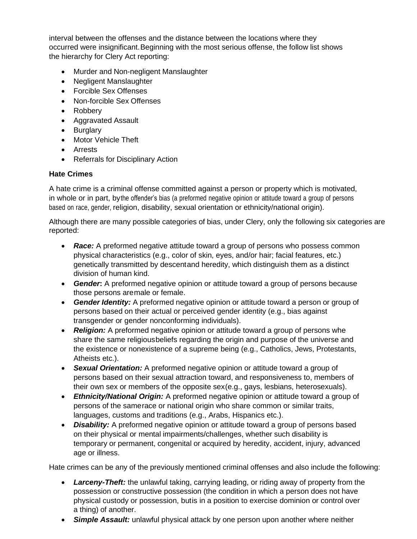interval between the offenses and the distance between the locations where they occurred were insignificant.Beginning with the most serious offense, the follow list shows the hierarchy for Clery Act reporting:

- Murder and Non-negligent Manslaughter
- Negligent Manslaughter
- Forcible Sex Offenses
- Non-forcible Sex Offenses
- Robbery
- Aggravated Assault
- Burglary
- Motor Vehicle Theft
- Arrests
- Referrals for Disciplinary Action

# **Hate Crimes**

A hate crime is a criminal offense committed against a person or property which is motivated, in whole or in part, bythe offender's bias (a preformed negative opinion or attitude toward a group of persons based on race, gender, religion, disability, sexual orientation or ethnicity/national origin).

Although there are many possible categories of bias, under Clery, only the following six categories are reported:

- **Race:** A preformed negative attitude toward a group of persons who possess common physical characteristics (e.g., color of skin, eyes, and/or hair; facial features, etc.) genetically transmitted by descentand heredity, which distinguish them as a distinct division of human kind.
- *Gender***:** A preformed negative opinion or attitude toward a group of persons because those persons aremale or female.
- *Gender Identity:* A preformed negative opinion or attitude toward a person or group of persons based on their actual or perceived gender identity (e.g., bias against transgender or gender nonconforming individuals).
- *Religion:* A preformed negative opinion or attitude toward a group of persons whe share the same religiousbeliefs regarding the origin and purpose of the universe and the existence or nonexistence of a supreme being (e.g., Catholics, Jews, Protestants, Atheists etc.).
- *Sexual Orientation:* A preformed negative opinion or attitude toward a group of persons based on their sexual attraction toward, and responsiveness to, members of their own sex or members of the opposite sex(e.g., gays, lesbians, heterosexuals).
- *Ethnicity/National Origin:* A preformed negative opinion or attitude toward a group of persons of the samerace or national origin who share common or similar traits, languages, customs and traditions (e.g., Arabs, Hispanics etc.).
- *Disability:* A preformed negative opinion or attitude toward a group of persons based on their physical or mental impairments/challenges, whether such disability is temporary or permanent, congenital or acquired by heredity, accident, injury, advanced age or illness.

Hate crimes can be any of the previously mentioned criminal offenses and also include the following:

- *Larceny-Theft:* the unlawful taking, carrying leading, or riding away of property from the possession or constructive possession (the condition in which a person does not have physical custody or possession, butis in a position to exercise dominion or control over a thing) of another.
- *Simple Assault:* unlawful physical attack by one person upon another where neither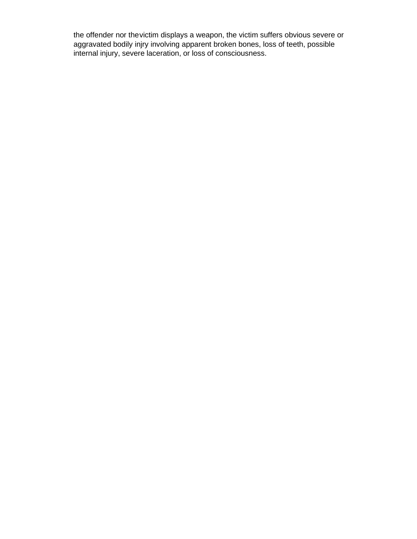the offender nor thevictim displays a weapon, the victim suffers obvious severe or aggravated bodily injry involving apparent broken bones, loss of teeth, possible internal injury, severe laceration, or loss of consciousness.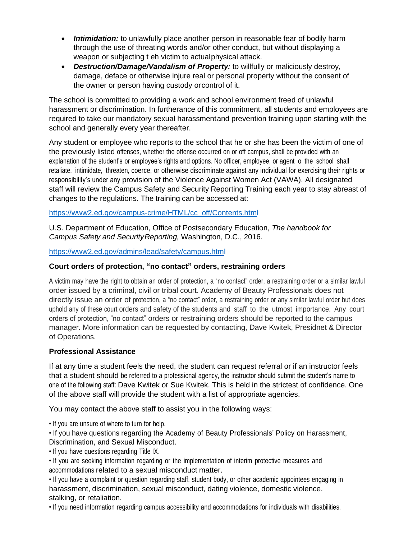- *Intimidation:* to unlawfully place another person in reasonable fear of bodily harm through the use of threating words and/or other conduct, but without displaying a weapon or subjecting t eh victim to actualphysical attack.
- *Destruction/Damage/Vandalism of Property:* to willfully or maliciously destroy, damage, deface or otherwise injure real or personal property without the consent of the owner or person having custody orcontrol of it.

The school is committed to providing a work and school environment freed of unlawful harassment or discrimination. In furtherance of this commitment, all students and employees are required to take our mandatory sexual harassmentand prevention training upon starting with the school and generally every year thereafter.

Any student or employee who reports to the school that he or she has been the victim of one of the previously listed offenses, whether the offense occurred on or off campus, shall be provided with an explanation of the student's or employee's rights and options. No officer, employee, or agent o the school shall retaliate, intimidate, threaten, coerce, or otherwise discriminate against any individual for exercising their rights or responsibility's under any provision of the Violence Against Women Act (VAWA). All designated staff will review the Campus Safety and Security Reporting Training each year to stay abreast of changes to the regulations. The training can be accessed at:

# [https://www2.ed.gov/campus-crime/HTML/cc\\_off/Contents.html](https://www2.ed.gov/campus-crime/HTML/cc_off/Contents.html)

U.S. Department of Education, Office of Postsecondary Education, *The handbook for Campus Safety and SecurityReporting,* Washington, D.C., 2016.

<https://www2.ed.gov/admins/lead/safety/campus.html>

# **Court orders of protection, "no contact" orders, restraining orders**

A victim may have the right to obtain an order of protection, a "no contact" order, a restraining order or a similar lawful order issued by a criminal, civil or tribal court. Academy of Beauty Professionals does not directly issue an order of protection, a "no contact" order, a restraining order or any similar lawful order but does uphold any of these court orders and safety of the students and staff to the utmost importance. Any court orders of protection, "no contact" orders or restraining orders should be reported to the campus manager. More information can be requested by contacting, Dave Kwitek, Presidnet & Director of Operations.

# **Professional Assistance**

If at any time a student feels the need, the student can request referral or if an instructor feels that a student should be referred to a professional agency, the instructor should submit the student's name to one of the following staff: Dave Kwitek or Sue Kwitek. This is held in the strictest of confidence. One of the above staff will provide the student with a list of appropriate agencies.

You may contact the above staff to assist you in the following ways:

• If you are unsure of where to turn for help.

• If you have questions regarding the Academy of Beauty Professionals' Policy on Harassment, Discrimination, and Sexual Misconduct.

• If you have questions regarding Title IX.

• If you are seeking information regarding or the implementation of interim protective measures and accommodations related to a sexual misconduct matter.

• If you have a complaint or question regarding staff, student body, or other academic appointees engaging in harassment, discrimination, sexual misconduct, dating violence, domestic violence, stalking, or retaliation.

• If you need information regarding campus accessibility and accommodations for individuals with disabilities.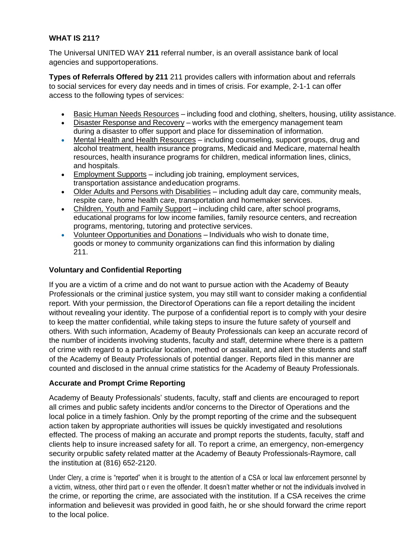# **WHAT IS 211?**

The Universal UNITED WAY **211** referral number, is an overall assistance bank of local agencies and supportoperations.

**Types of Referrals Offered by 211** 211 provides callers with information about and referrals to social services for every day needs and in times of crisis. For example, 2-1-1 can offer access to the following types of services:

- Basic Human Needs Resources including food and clothing, shelters, housing, utility assistance.
- Disaster Response and Recovery works with the emergency management team during a disaster to offer support and place for dissemination of information.
- Mental Health and Health Resources including counseling, support groups, drug and alcohol treatment, health insurance programs, Medicaid and Medicare, maternal health resources, health insurance programs for children, medical information lines, clinics, and hospitals.
- Employment Supports including job training, employment services, transportation assistance andeducation programs.
- Older Adults and Persons with Disabilities including adult day care, community meals, respite care, home health care, transportation and homemaker services.
- Children, Youth and Family Support including child care, after school programs, educational programs for low income families, family resource centers, and recreation programs, mentoring, tutoring and protective services.
- Volunteer Opportunities and Donations Individuals who wish to donate time, goods or money to community organizations can find this information by dialing 211.

# **Voluntary and Confidential Reporting**

If you are a victim of a crime and do not want to pursue action with the Academy of Beauty Professionals or the criminal justice system, you may still want to consider making a confidential report. With your permission, the Directorof Operations can file a report detailing the incident without revealing your identity. The purpose of a confidential report is to comply with your desire to keep the matter confidential, while taking steps to insure the future safety of yourself and others. With such information, Academy of Beauty Professionals can keep an accurate record of the number of incidents involving students, faculty and staff, determine where there is a pattern of crime with regard to a particular location, method or assailant, and alert the students and staff of the Academy of Beauty Professionals of potential danger. Reports filed in this manner are counted and disclosed in the annual crime statistics for the Academy of Beauty Professionals.

# **Accurate and Prompt Crime Reporting**

Academy of Beauty Professionals' students, faculty, staff and clients are encouraged to report all crimes and public safety incidents and/or concerns to the Director of Operations and the local police in a timely fashion. Only by the prompt reporting of the crime and the subsequent action taken by appropriate authorities will issues be quickly investigated and resolutions effected. The process of making an accurate and prompt reports the students, faculty, staff and clients help to insure increased safety for all. To report a crime, an emergency, non-emergency security orpublic safety related matter at the Academy of Beauty Professionals-Raymore, call the institution at (816) 652-2120.

Under Clery, a crime is "reported" when it is brought to the attention of a CSA or local law enforcement personnel by a victim, witness, other third part o r even the offender. It doesn't matter whether or not the individuals involved in the crime, or reporting the crime, are associated with the institution. If a CSA receives the crime information and believesit was provided in good faith, he or she should forward the crime report to the local police.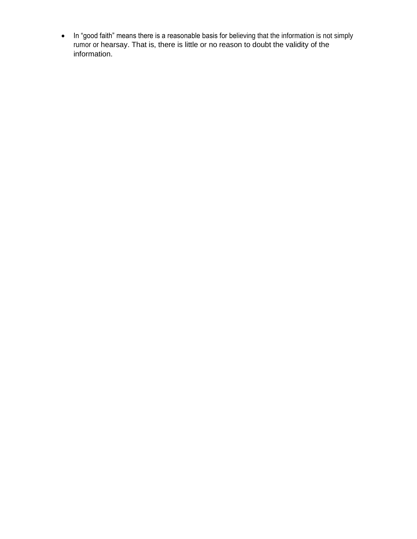• In "good faith" means there is a reasonable basis for believing that the information is not simply rumor or hearsay. That is, there is little or no reason to doubt the validity of the information.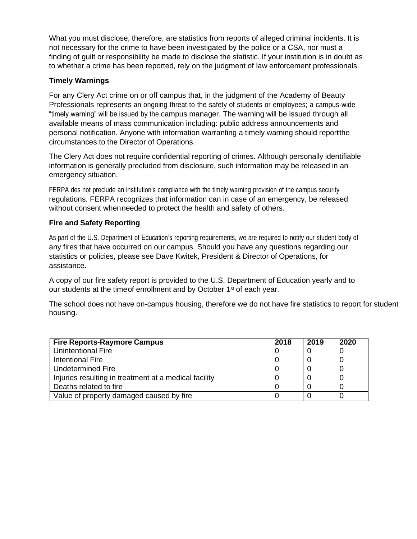What you must disclose, therefore, are statistics from reports of alleged criminal incidents. It is not necessary for the crime to have been investigated by the police or a CSA, nor must a finding of guilt or responsibility be made to disclose the statistic. If your institution is in doubt as to whether a crime has been reported, rely on the judgment of law enforcement professionals.

# **Timely Warnings**

For any Clery Act crime on or off campus that, in the judgment of the Academy of Beauty Professionals represents an ongoing threat to the safety of students or employees; a campus-wide "timely warning" will be issued by the campus manager. The warning will be issued through all available means of mass communication including: public address announcements and personal notification. Anyone with information warranting a timely warning should reportthe circumstances to the Director of Operations.

The Clery Act does not require confidential reporting of crimes. Although personally identifiable information is generally precluded from disclosure, such information may be released in an emergency situation.

FERPA des not preclude an institution's compliance with the timely warning provision of the campus security regulations. FERPA recognizes that information can in case of an emergency, be released without consent whenneeded to protect the health and safety of others.

# **Fire and Safety Reporting**

As part of the U.S. Department of Education's reporting requirements, we are required to notify our student body of any fires that have occurred on our campus. Should you have any questions regarding our statistics or policies, please see Dave Kwitek, President & Director of Operations, for assistance.

A copy of our fire safety report is provided to the U.S. Department of Education yearly and to our students at the timeof enrollment and by October 1<sup>st</sup> of each year.

The school does not have on-campus housing, therefore we do not have fire statistics to report for student housing.

| <b>Fire Reports-Raymore Campus</b>                    | 2018 | 2019 | 2020 |
|-------------------------------------------------------|------|------|------|
| <b>Unintentional Fire</b>                             |      |      |      |
| Intentional Fire                                      |      |      |      |
| Undetermined Fire                                     |      |      |      |
| Injuries resulting in treatment at a medical facility |      |      |      |
| Deaths related to fire                                |      |      |      |
| Value of property damaged caused by fire              |      |      |      |